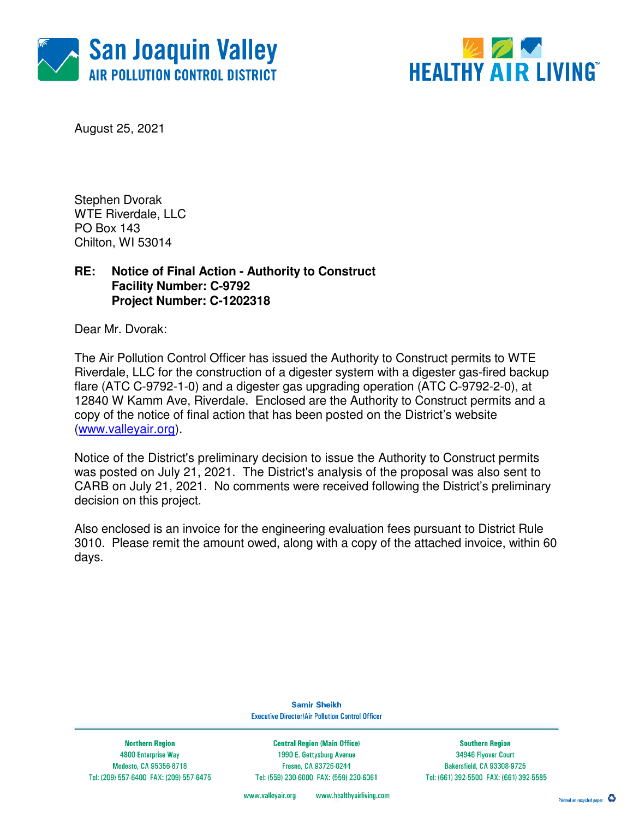



August 25, 2021

Stephen Dvorak WTE Riverdale, LLC PO Box 143 Chilton, WI 53014

## **RE: Notice of Final Action - Authority to Construct Facility Number: C-9792 Project Number: C-1202318**

Dear Mr. Dvorak:

The Air Pollution Control Officer has issued the Authority to Construct permits to WTE Riverdale, LLC for the construction of a digester system with a digester gas-fired backup flare (ATC C-9792-1-0) and a digester gas upgrading operation (ATC C-9792-2-0), at 12840 W Kamm Ave, Riverdale. Enclosed are the Authority to Construct permits and a copy of the notice of final action that has been posted on the District's website (www.valleyair.org).

Notice of the District's preliminary decision to issue the Authority to Construct permits was posted on July 21, 2021. The District's analysis of the proposal was also sent to CARB on July 21, 2021. No comments were received following the District's preliminary decision on this project.

Also enclosed is an invoice for the engineering evaluation fees pursuant to District Rule 3010. Please remit the amount owed, along with a copy of the attached invoice, within 60 days.

> **Samir Sheikh Executive Director/Air Pollution Control Officer**

**Northern Region** 4800 Enterprise Way Modesto, CA 95356-8718 Tel: (209) 557-6400 FAX: (209) 557-6475

**Central Region (Main Office)** 1990 E. Gettysburg Avenue Fresno, CA 93726-0244 Tel: (559) 230-6000 FAX: (559) 230-6061

**Southern Region** 34946 Flyover Court Bakersfield, CA 93308-9725 Tel: (661) 392-5500 FAX: (661) 392-5585

www.valleyair.org www.healthyairliving.com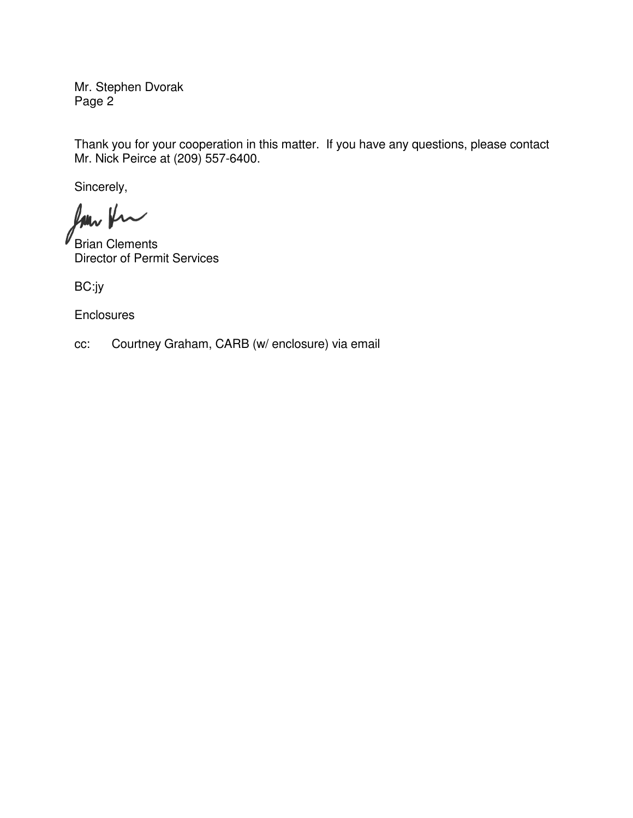Mr. Stephen Dvorak Page 2

Thank you for your cooperation in this matter. If you have any questions, please contact Mr. Nick Peirce at (209) 557-6400.

Sincerely,

Rom Kr

Brian Clements Director of Permit Services

BC:jy

**Enclosures** 

cc: Courtney Graham, CARB (w/ enclosure) via email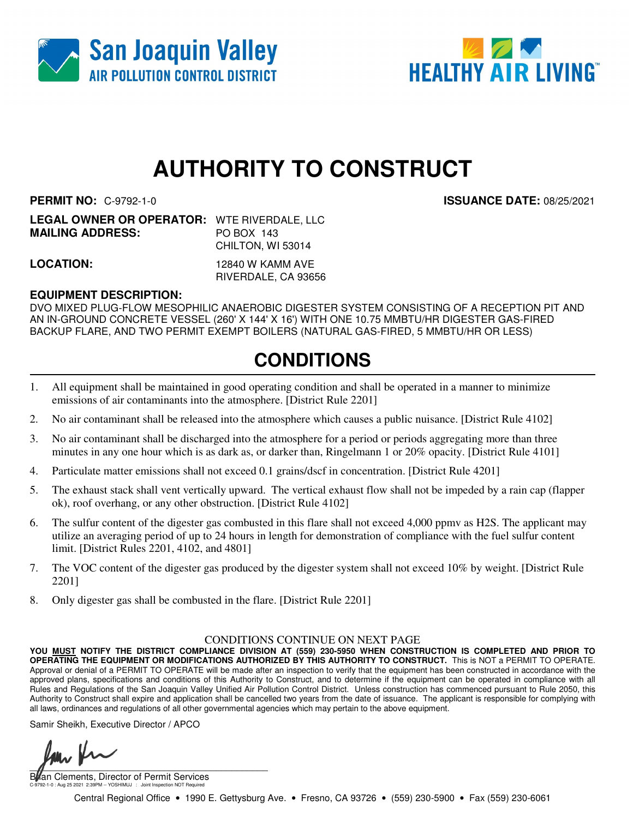



# **AUTHORITY TO CONSTRUCT**

**PERMIT NO:** C-9792-1-0 **ISSUANCE DATE:** 08/25/2021

| <b>LEGAL OWNER OR OPERATOR: WTE RIVERDALE, LLC</b> |                   |
|----------------------------------------------------|-------------------|
| <b>MAILING ADDRESS:</b>                            | PO BOX 143        |
|                                                    | CHILTON, WI 53014 |
|                                                    |                   |

**LOCATION:** 12840 W KAMM AVE RIVERDALE, CA 93656

### **EQUIPMENT DESCRIPTION:**

DVO MIXED PLUG-FLOW MESOPHILIC ANAEROBIC DIGESTER SYSTEM CONSISTING OF A RECEPTION PIT AND AN IN-GROUND CONCRETE VESSEL (260' X 144' X 16') WITH ONE 10.75 MMBTU/HR DIGESTER GAS-FIRED BACKUP FLARE, AND TWO PERMIT EXEMPT BOILERS (NATURAL GAS-FIRED, 5 MMBTU/HR OR LESS)

# **CONDITIONS**

- 1. All equipment shall be maintained in good operating condition and shall be operated in a manner to minimize emissions of air contaminants into the atmosphere. [District Rule 2201]
- 2. No air contaminant shall be released into the atmosphere which causes a public nuisance. [District Rule 4102]
- 3. No air contaminant shall be discharged into the atmosphere for a period or periods aggregating more than three minutes in any one hour which is as dark as, or darker than, Ringelmann 1 or 20% opacity. [District Rule 4101]
- 4. Particulate matter emissions shall not exceed 0.1 grains/dscf in concentration. [District Rule 4201]
- 5. The exhaust stack shall vent vertically upward. The vertical exhaust flow shall not be impeded by a rain cap (flapper ok), roof overhang, or any other obstruction. [District Rule 4102]
- 6. The sulfur content of the digester gas combusted in this flare shall not exceed 4,000 ppmv as H2S. The applicant may utilize an averaging period of up to 24 hours in length for demonstration of compliance with the fuel sulfur content limit. [District Rules 2201, 4102, and 4801]
- 7. The VOC content of the digester gas produced by the digester system shall not exceed 10% by weight. [District Rule 2201]
- 8. Only digester gas shall be combusted in the flare. [District Rule 2201]

#### CONDITIONS CONTINUE ON NEXT PAGE

**YOU MUST NOTIFY THE DISTRICT COMPLIANCE DIVISION AT (559) 230-5950 WHEN CONSTRUCTION IS COMPLETED AND PRIOR TO OPERATING THE EQUIPMENT OR MODIFICATIONS AUTHORIZED BY THIS AUTHORITY TO CONSTRUCT.** This is NOT a PERMIT TO OPERATE. Approval or denial of a PERMIT TO OPERATE will be made after an inspection to verify that the equipment has been constructed in accordance with the approved plans, specifications and conditions of this Authority to Construct, and to determine if the equipment can be operated in compliance with all Rules and Regulations of the San Joaquin Valley Unified Air Pollution Control District. Unless construction has commenced pursuant to Rule 2050, this Authority to Construct shall expire and application shall be cancelled two years from the date of issuance. The applicant is responsible for complying with all laws, ordinances and regulations of all other governmental agencies which may pertain to the above equipment.

Samir Sheikh, Executive Director / APCO

 $\sqrt{2\pi}$ 

an Clements, Director of Permit Services C-9792-1-0 : Aug 25 2021 2:39PM -- YOSHIMUJ : Joint Inspection NOT Required

Central Regional Office • 1990 E. Gettysburg Ave. • Fresno, CA 93726 • (559) 230-5900 • Fax (559) 230-6061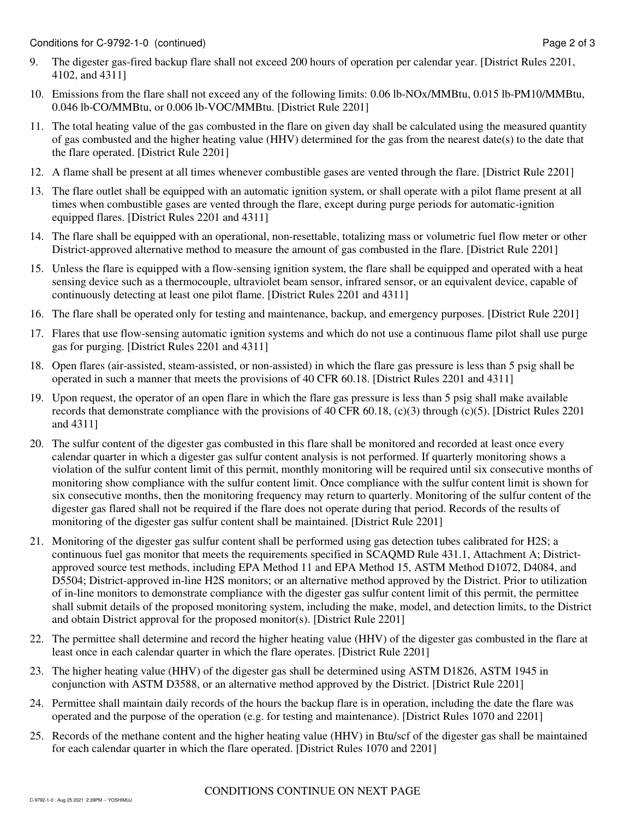- 9. The digester gas-fired backup flare shall not exceed 200 hours of operation per calendar year. [District Rules 2201, 4102, and 4311]
- 10. Emissions from the flare shall not exceed any of the following limits: 0.06 lb-NOx/MMBtu, 0.015 lb-PM10/MMBtu, 0.046 lb-CO/MMBtu, or 0.006 lb-VOC/MMBtu. [District Rule 2201]
- 11. The total heating value of the gas combusted in the flare on given day shall be calculated using the measured quantity of gas combusted and the higher heating value (HHV) determined for the gas from the nearest date(s) to the date that the flare operated. [District Rule 2201]
- 12. A flame shall be present at all times whenever combustible gases are vented through the flare. [District Rule 2201]
- 13. The flare outlet shall be equipped with an automatic ignition system, or shall operate with a pilot flame present at all times when combustible gases are vented through the flare, except during purge periods for automatic-ignition equipped flares. [District Rules 2201 and 4311]
- 14. The flare shall be equipped with an operational, non-resettable, totalizing mass or volumetric fuel flow meter or other District-approved alternative method to measure the amount of gas combusted in the flare. [District Rule 2201]
- 15. Unless the flare is equipped with a flow-sensing ignition system, the flare shall be equipped and operated with a heat sensing device such as a thermocouple, ultraviolet beam sensor, infrared sensor, or an equivalent device, capable of continuously detecting at least one pilot flame. [District Rules 2201 and 4311]
- 16. The flare shall be operated only for testing and maintenance, backup, and emergency purposes. [District Rule 2201]
- 17. Flares that use flow-sensing automatic ignition systems and which do not use a continuous flame pilot shall use purge gas for purging. [District Rules 2201 and 4311]
- 18. Open flares (air-assisted, steam-assisted, or non-assisted) in which the flare gas pressure is less than 5 psig shall be operated in such a manner that meets the provisions of 40 CFR 60.18. [District Rules 2201 and 4311]
- 19. Upon request, the operator of an open flare in which the flare gas pressure is less than 5 psig shall make available records that demonstrate compliance with the provisions of 40 CFR 60.18, (c)(3) through (c)(5). [District Rules 2201 and 4311]
- 20. The sulfur content of the digester gas combusted in this flare shall be monitored and recorded at least once every calendar quarter in which a digester gas sulfur content analysis is not performed. If quarterly monitoring shows a violation of the sulfur content limit of this permit, monthly monitoring will be required until six consecutive months of monitoring show compliance with the sulfur content limit. Once compliance with the sulfur content limit is shown for six consecutive months, then the monitoring frequency may return to quarterly. Monitoring of the sulfur content of the digester gas flared shall not be required if the flare does not operate during that period. Records of the results of monitoring of the digester gas sulfur content shall be maintained. [District Rule 2201]
- 21. Monitoring of the digester gas sulfur content shall be performed using gas detection tubes calibrated for H2S; a continuous fuel gas monitor that meets the requirements specified in SCAQMD Rule 431.1, Attachment A; Districtapproved source test methods, including EPA Method 11 and EPA Method 15, ASTM Method D1072, D4084, and D5504; District-approved in-line H2S monitors; or an alternative method approved by the District. Prior to utilization of in-line monitors to demonstrate compliance with the digester gas sulfur content limit of this permit, the permittee shall submit details of the proposed monitoring system, including the make, model, and detection limits, to the District and obtain District approval for the proposed monitor(s). [District Rule 2201]
- 22. The permittee shall determine and record the higher heating value (HHV) of the digester gas combusted in the flare at least once in each calendar quarter in which the flare operates. [District Rule 2201]
- 23. The higher heating value (HHV) of the digester gas shall be determined using ASTM D1826, ASTM 1945 in conjunction with ASTM D3588, or an alternative method approved by the District. [District Rule 2201]
- 24. Permittee shall maintain daily records of the hours the backup flare is in operation, including the date the flare was operated and the purpose of the operation (e.g. for testing and maintenance). [District Rules 1070 and 2201]
- 25. Records of the methane content and the higher heating value (HHV) in Btu/scf of the digester gas shall be maintained for each calendar quarter in which the flare operated. [District Rules 1070 and 2201]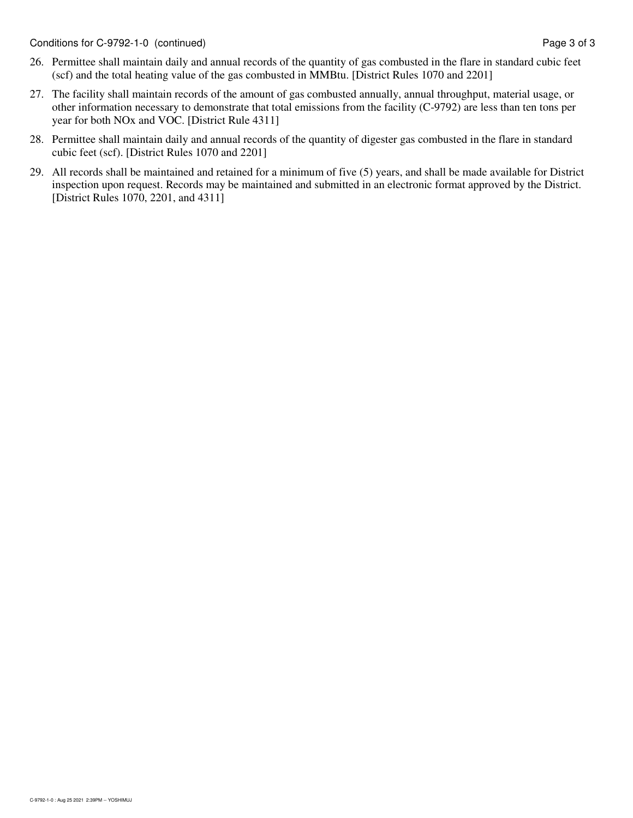- 26. Permittee shall maintain daily and annual records of the quantity of gas combusted in the flare in standard cubic feet (scf) and the total heating value of the gas combusted in MMBtu. [District Rules 1070 and 2201]
- 27. The facility shall maintain records of the amount of gas combusted annually, annual throughput, material usage, or other information necessary to demonstrate that total emissions from the facility (C-9792) are less than ten tons per year for both NOx and VOC. [District Rule 4311]
- 28. Permittee shall maintain daily and annual records of the quantity of digester gas combusted in the flare in standard cubic feet (scf). [District Rules 1070 and 2201]
- 29. All records shall be maintained and retained for a minimum of five (5) years, and shall be made available for District inspection upon request. Records may be maintained and submitted in an electronic format approved by the District. [District Rules 1070, 2201, and 4311]